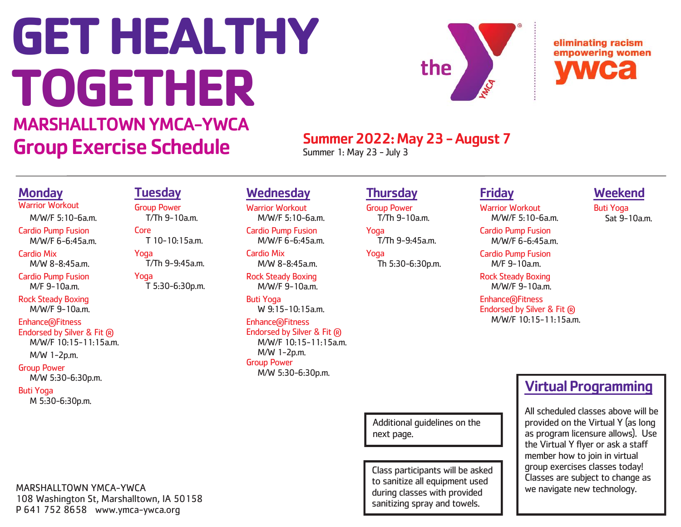# **GET HEALTHY TOGETHER**



eliminating racism empowering women

# MARSHALLTOWN YMCA-YWCA Group Exercise Schedule Summer 2022: May 23 - August 7

**Thursday** Group Power

Yoga

Yoga

T/Th 9-10a.m.

T/Th 9-9:45a.m.

Th 5:30-6:30p.m.

Summer 1: May 23 - July 3

# Friday

Warrior Workout M/W/F 5:10-6a.m. Cardio Pump Fusion

M/W/F 6-6:45a.m.

M/F 9-10a.m.

M/W/F 9-10a.m.

Endorsed by Silver & Fit ® M/W/F 10:15-11:15a.m.

## Weekend

Buti Yoga Sat 9-10a.m.

Cardio Pump Fusion

Rock Steady Boxing

Enhance®Fitness

# Virtual Programming

All scheduled classes above will be provided on the Virtual Y (as long as program licensure allows). Use the Virtual Y flyer or ask a staff member how to join in virtual group exercises classes today! Classes are subject to change as we navigate new technology.

# **Monday**

Warrior Workout

 M/W/F 5:10-6a.m. Cardio Pump Fusion M/W/F 6-6:45a.m.

Cardio Mix M/W 8-8:45a.m.

Cardio Pump Fusion M/F 9-10a.m.

Rock Steady Boxing  $M/M/F$  9-10a m

## Enhance®Fitness

Endorsed by Silver & Fit ® M/W/F 10:15-11:15a.m.

M/W 1-2p.m.

# Group Power

M/W 5:30-6:30p.m.

Buti Yoga M 5:30-6:30p.m.

# **Tuesday**

Group Power T/Th 9-10a.m. Core

 T 10-10:15a.m. Yoga

 T/Th 9-9:45a.m. Yoga

T 5:30-6:30p.m.

Buti Yoga  $W$  9.15-10.15a $m$ 

Cardio Mix

**Wednesday** Warrior Workout

 M/W/F 5:10-6a.m. Cardio Pump Fusion M/W/F 6-6:45a.m.

 M/W 8-8:45a.m. Rock Steady Boxing M/W/F 9-10a.m.

Enhance®Fitness Endorsed by Silver & Fit ® M/W/F 10:15-11:15a.m. M/W 1-2p.m. Group Power

M/W 5:30-6:30p.m.

Additional guidelines on the next page.

Class participants will be asked to sanitize all equipment used during classes with provided sanitizing spray and towels.

MARSHALLTOWN YMCA-YWCA 108 Washington St, Marshalltown, IA 50158 P 641 752 8658 www.ymca-ywca.org